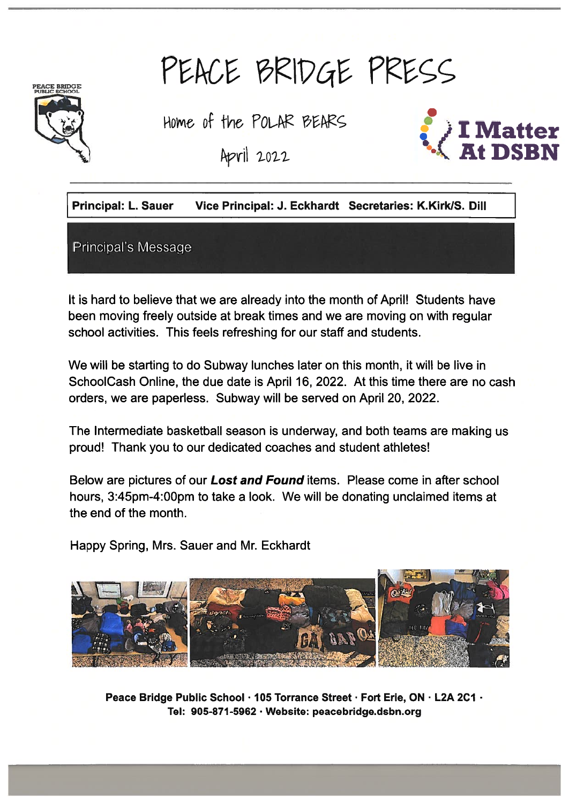# PEACE BRIDGE PRESS



Home of the POLAR BEARS

April 2022



Principal: L. Sauer Vice Principal: J. Eckhardt Secretaries: K.Kirk/S. Dill

Principal's Message

It is hard to believe that we are already into the month of April! Students have been moving freely outside at break times and we are moving on with regular school activities. This feels refreshing for our staff and students.

We will be starting to do Subway lunches later on this month, it will be live in SchoolCash Online, the due date is April 16, 2022. At this time there are no cash orders, we are paperless. Subway will be served on April 20, 2022.

The Intermediate basketball season is underway, and both teams are making us proud! Thank you to our dedicated coaches and student athletes!

Below are pictures of our Lost and Found items. Please come in after school hours, 3:45pm-4:OOpm to take <sup>a</sup> look. We will be donating unclaimed items at the end of the month.

Happy Spring, Mrs. Sauer and Mr. Eckhardt

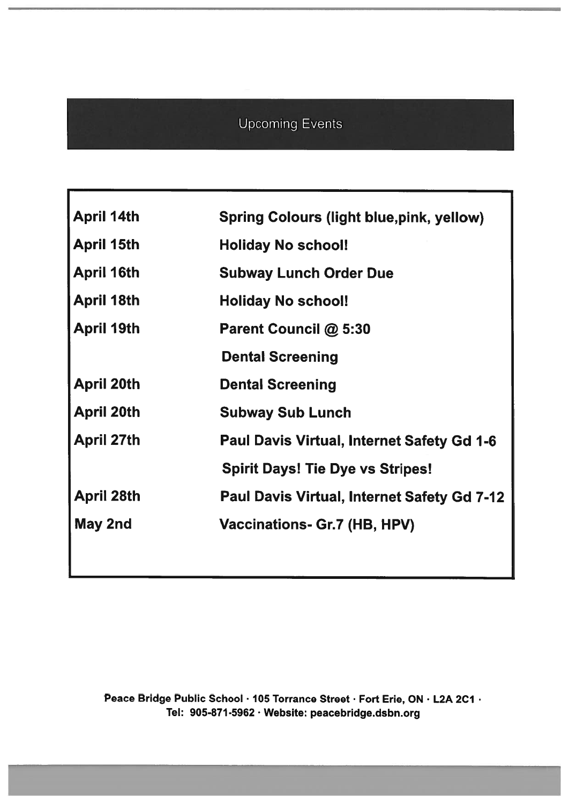# Upcoming Events

| <b>April 14th</b> | <b>Spring Colours (light blue, pink, yellow)</b>   |  |  |
|-------------------|----------------------------------------------------|--|--|
| <b>April 15th</b> | <b>Holiday No school!</b>                          |  |  |
| <b>April 16th</b> | <b>Subway Lunch Order Due</b>                      |  |  |
| <b>April 18th</b> | <b>Holiday No school!</b>                          |  |  |
| <b>April 19th</b> | Parent Council @ 5:30                              |  |  |
|                   | <b>Dental Screening</b>                            |  |  |
| <b>April 20th</b> | <b>Dental Screening</b>                            |  |  |
| <b>April 20th</b> | <b>Subway Sub Lunch</b>                            |  |  |
| <b>April 27th</b> | <b>Paul Davis Virtual, Internet Safety Gd 1-6</b>  |  |  |
|                   | <b>Spirit Days! Tie Dye vs Stripes!</b>            |  |  |
| <b>April 28th</b> | <b>Paul Davis Virtual, Internet Safety Gd 7-12</b> |  |  |
| May 2nd           | Vaccinations- Gr.7 (HB, HPV)                       |  |  |
|                   |                                                    |  |  |
|                   |                                                    |  |  |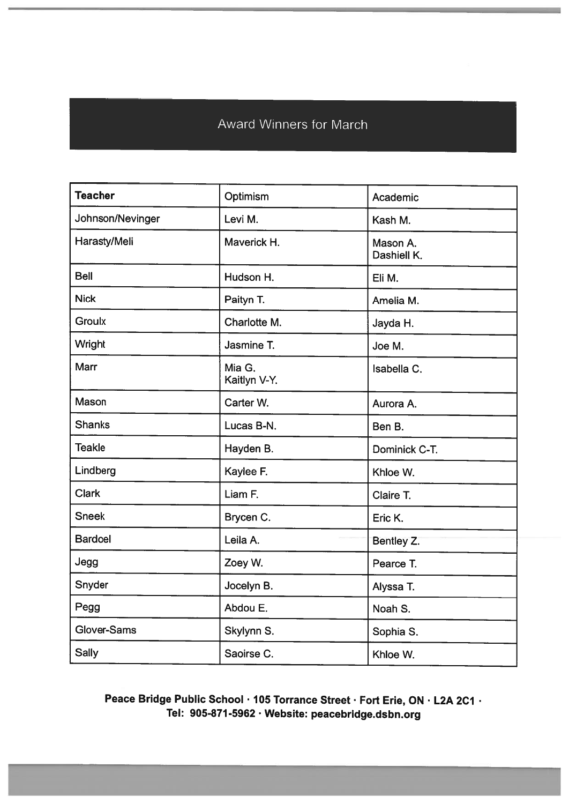# Award Winners for March

| <b>Teacher</b>   | Optimism               | Academic                |  |
|------------------|------------------------|-------------------------|--|
| Johnson/Nevinger | Levi M.                | Kash M.                 |  |
| Harasty/Meli     | Maverick H.            | Mason A.<br>Dashiell K. |  |
| <b>Bell</b>      | Hudson H.              | Eli M.                  |  |
| <b>Nick</b>      | Paityn T.              | Amelia M.               |  |
| <b>Groulx</b>    | Charlotte M.           | Jayda H.                |  |
| <b>Wright</b>    | Jasmine T.             | Joe M.                  |  |
| Marr             | Mia G.<br>Kaitlyn V-Y. | Isabella C.             |  |
| Mason            | Carter W.              | Aurora A.               |  |
| <b>Shanks</b>    | Lucas B-N.             | Ben B.                  |  |
| <b>Teakle</b>    | Hayden B.              | Dominick C-T.           |  |
| Lindberg         | Kaylee F.              | Khloe W.                |  |
| <b>Clark</b>     | Liam F.                | Claire T.               |  |
| <b>Sneek</b>     | Brycen C.              | Eric K.                 |  |
| <b>Bardoel</b>   | Leila A.               | Bentley Z.              |  |
| Jegg             | Zoey W.                | Pearce T.               |  |
| Snyder           | Jocelyn B.             | Alyssa T.               |  |
| Pegg             | Abdou E.               | Noah S.                 |  |
| Glover-Sams      | Skylynn S.             | Sophia S.               |  |
| <b>Sally</b>     | Saoirse C.             | Khloe W.                |  |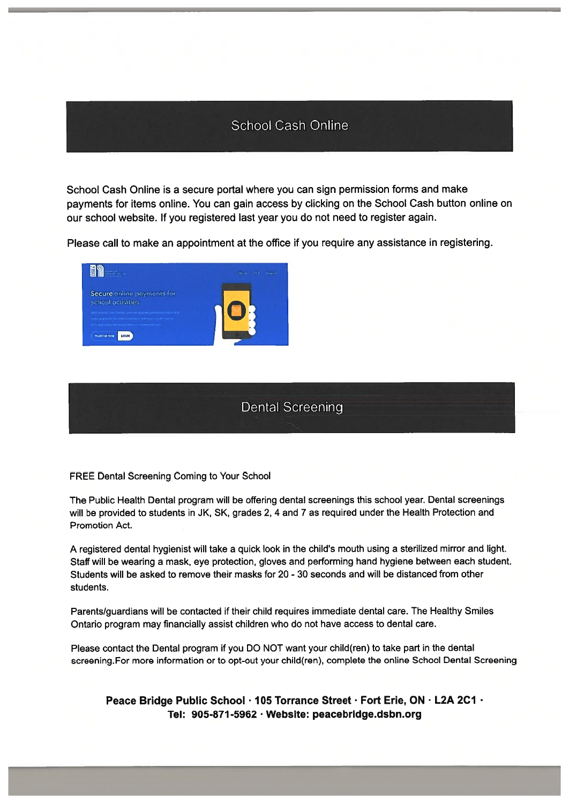### School Cash Online

School Cash Online is <sup>a</sup> secure portal where you can sign permission forms and make payments for items online. You can gain access by clicking on the School Cash button online on our school website. If you registered last year you do not need to register again.

Please call to make an appointment at the office if you require any assistance in registering.



#### Dental Screening

#### FREE Dental Screening Coming to Your School

The Public Health Dental program will be offering dental screenings this school year. Dental screenings will be provided to students in JK, SK, grades 2, 4 and 7 as required under the Health Protection and Promotion Act.

A registered dental hygienist will take a quick look in the child's mouth using a sterilized mirror and light. Staff will be wearing <sup>a</sup> mask, eye protection, <sup>g</sup>loves and performing hand hygiene between each student. Students will be asked to remove their masks for 20 - 30 seconds and will be distanced from other students.

Parents/guardians will be contacted if their child requires immediate dental care. The Healthy Smiles Ontario program may financially assist children who do not have access to dental care.

Please contact the Dental program if you DO NOT want your child(ren) to take par<sup>t</sup> in the dental screening.For more information or to opt-out your child(ren), complete the online School Dental Screening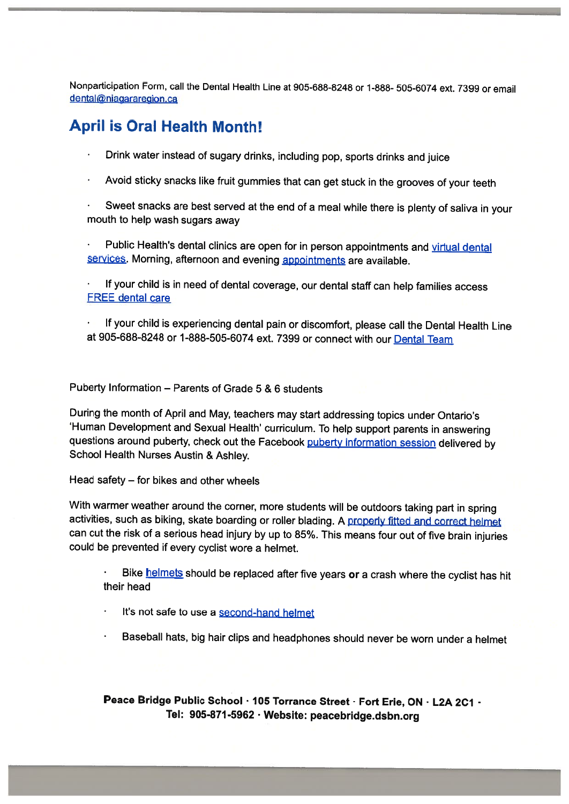Nonparticipation Form, call the Dental Health Line at 905-688-8248 or 1-888- 505-6074 ext. <sup>7399</sup> or email dental@niagararegion.ca

## April is Oral Health Month!

- Drink water instead of sugary drinks, including pop, sports drinks and juice
- Avoid sticky snacks like fruit gummies that can get stuck in the grooves of your teeth

• Sweet snacks are best served at the end of <sup>a</sup> meal while there is <sup>p</sup>lenty of saliva in your mouth to help wash sugars away

Public Health's dental clinics are open for in person appointments and virtual dental services. Morning, afternoon and evening appointments are available.

• If your child is in need of dental coverage, our dental staff can help families access FREE dental care

• If your child is experiencing dental pain or discomfort, <sup>p</sup>lease call the Dental Health Line at 905-688-8248 or 1-888-505-6074 ext. 7399 or connect with our Dental Team

Puberty Information — Parents of Grade 5 & 6 students

During the month of April and May, teachers may start addressing topics under Ontario's 'Human Development and Sexual Health' curriculum. To help support parents in answering questions around puberty, check out the Facebook puberty information session delivered by School Health Nurses Austin & Ashley.

Head safety — for bikes and other wheels

•

With warmer weather around the corner, more students will be outdoors taking part in spring activities, such as biking, skate boarding or roller blading. A properly fitted and correct helmet can cut the risk of <sup>a</sup> serious head injury by up to 85%. This means four out of five brain injuries could be prevented if every cyclist wore <sup>a</sup> helmet.

Bike helmets should be replaced after five years or a crash where the cyclist has hit their head

•It's not safe to use a second-hand helmet

Baseball hats, big hair clips and headphones should never be worn under <sup>a</sup> helmet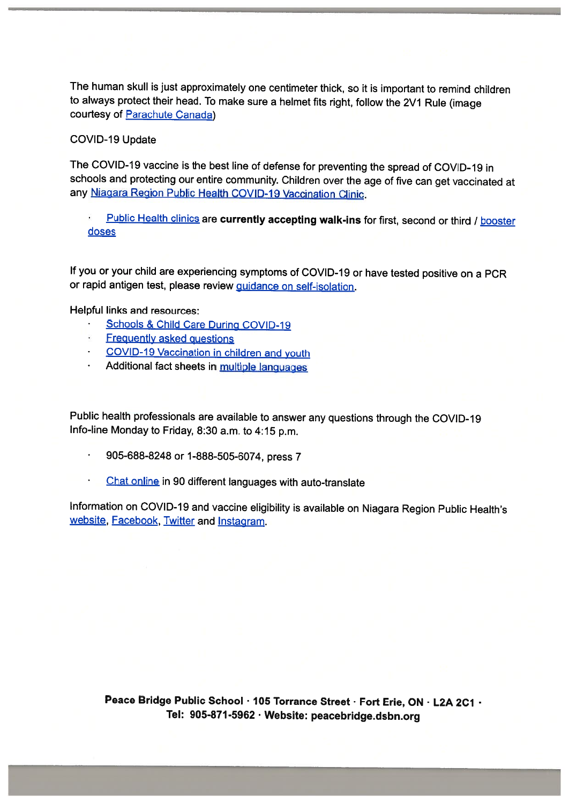The human skull is just approximately one centimeter thick, so it is important to remind children to always protect their head. To make sure <sup>a</sup> helmet fits right, follow the 2V1 Rule (image courtesy of Parachute Canada)

#### COVID-19 Update

The COVID-19 vaccine is the best line of defense for preventing the spread of COVID-19 in schools and protecting our entire community. Children over the age of five can get vaccinated at any Niagara Region Public Health COVID-19 Vaccination Clinic.

•Public Health clinics are currently accepting walk-ins for first, second or third / booster doses

If you or your child are experiencing symptoms of COVID-19 or have tested positive on <sup>a</sup> PCR or rapid antigen test, please review **quidance on self-isolation**.

Helpful links and resources:

- •Schools & Child Care During COVID-19
- •**Frequently asked questions**
- COVID-19 Vaccination in children and youth
- •Additional fact sheets in multiple languages

Public health professionals are available to answer any questions through the COVID-19 Info-line Monday to Friday, 8:30 a.m. to 4:15 pm.

- 905-688-8248 or 1-888-505-6074, press <sup>7</sup>
- Chat online in <sup>90</sup> different languages with auto-translate

Information on COVID-19 and vaccine eligibility is available on Niagara Region Public Health's website, Facebook, Twitter and Instagram.

Peace Bridge Public School . 105 Torrance Street . Fort Erie, ON . L2A 2C1 . Tel: 905-871-5962 . Website: peacebridge.dsbn.org

-j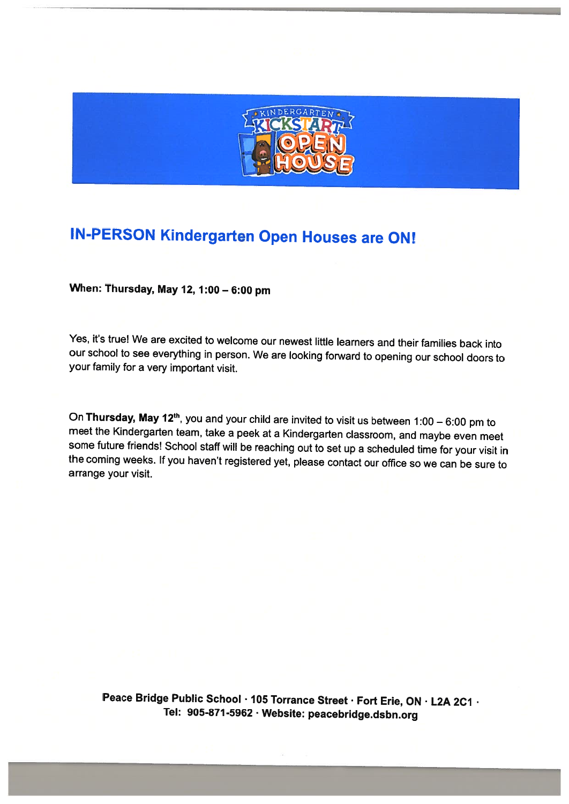

# IN-PERSON Kindergarten Open Houses are ON!

When: Thursday, May 12, 1:00 — 6:00 pm

Yes, it's true! We are excited to welcome our newest little learners and their families back into our school to see everything in person. We are looking forward to opening our school doors to your family for <sup>a</sup> very important visit.

On **Thursday, May 12<sup>th</sup>**, you and your child are invited to visit us between 1:00 – 6:00 pm to meet the Kindergarten team, take a peek at a Kindergarten classroom, and maybe even meet some future friends! School staff wi the coming weeks. If you haven't registered yet, please contact our office so we can be sure to arrange your visit.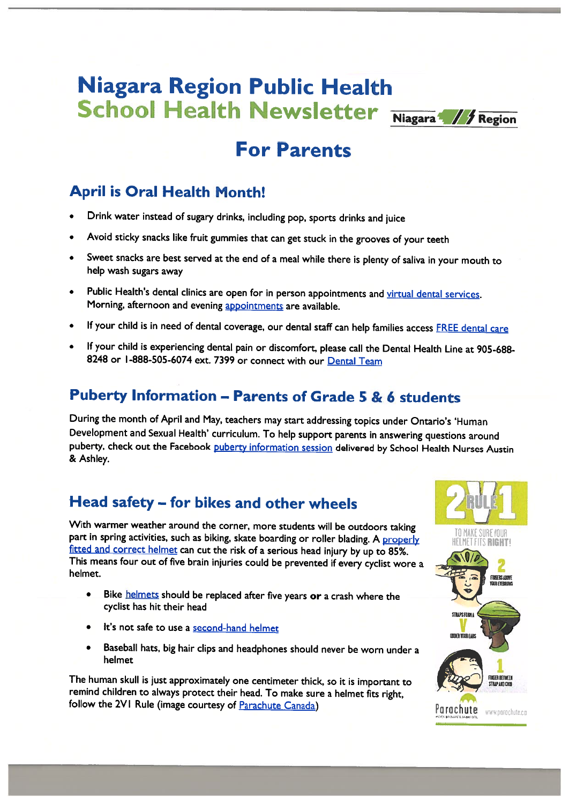# Niagara Region Public Health School Health Newsletter Niagara: // Region



# For Parents

# April is Oral Health Month!

- •Drink water instead of sugary drinks, including pop, sports drinks and juice
- •Avoid sticky snacks like fruit gummies that can get stuck in the grooves of your teeth
- Sweet snacks are best served at the end of <sup>a</sup> meal while there is <sup>p</sup>lenty of saliva in your mouth to help wash sugars away
- •Public Health's dental clinics are open for in person appointments and virtual dental services. Morning, afternoon and evening appointments are available.
- •If your child is in need of dental coverage, our dental staff can help families access FREE dental care
- • If your child is experiencing dental pain or discomfort, <sup>p</sup>lease call the Dental Health Line at 905-688- 8248 or 1-888-505-6074 ext. 7399 or connect with our Dental Team

## Puberty Information — Parents of Grade 5 & 6 students

During the month of April and May, teachers may start addressing topics under Ontario's 'Human Development and Sexual Health' curriculum. To help support parents in answering questions around puberty, check out the Facebook puberty information session delivered by School Health Nurses Austin & Ashley.

# Head safety — for bikes and other wheels

With warmer weather around the corner, more students will be outdoors taking part in spring activities, such as biking, skate boarding or roller blading. A properly fitted and correct helmet can cut the risk of <sup>a</sup> serious head injury by up to 85%. This means four out of five brain injuries could be prevented if every cyclist wore <sup>a</sup> helmet.

- •Bike **helmets** should be replaced after five years or a crash where the cyclist has hit their head
- •It's not safe to use <sup>a</sup> second-hand helmet
- • Baseball hats, big hair clips and headphones should never be worn under <sup>a</sup> helmet

The human skull is just approximately one centimeter thick, so it is important to remind children to always protect their head. To make sure <sup>a</sup> helmet fits right, follow the 2VI Rule (image courtesy of <u>Parachute Canada</u>) Parachute Parachute www.parachute.com

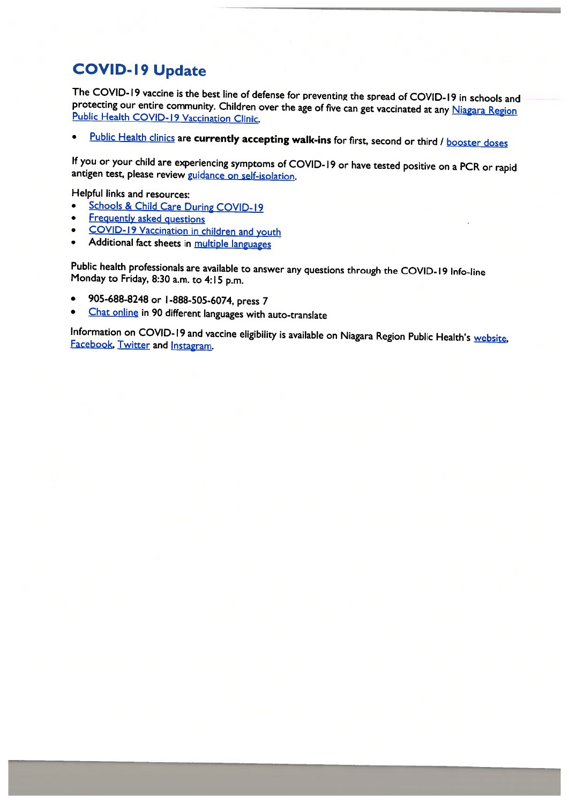# COVID-19 Update

The COVID-19 vaccine is the best line of defense for preventing the spread of COVID-19 in schools and protecting our entire community. Children over the age of five can get vaccinated at any Niagara Region Public Health CO

•Public Health clinics are currently accepting walk-ins for first, second or third / booster doses

If you or your child are experiencing symptoms of COVID-19 or have tested positive on a PCR or rapid antigen test, please review guidance on self-isolation.

Helpful links and resources:

- •Schools & Child Care During COVID-19
- •Frequently asked questions
- •COVID- <sup>19</sup> Vaccination in children and youth
- •Additional fact sheets in multiple languages

Public health professionals are available to answer any questions through the COVID-l9 Info-line Monday to Friday, 8:30 a.m. to 4:15 p.m.

- •905-688-8248 or <sup>I</sup> -888-505-6074, press <sup>7</sup>
- •Chat online in <sup>90</sup> different languages with auto-translate

Information on COVID-19 and vaccine eligibility is available on Niagara Region Public Health's website, Facebook, Twitter and Instagram.